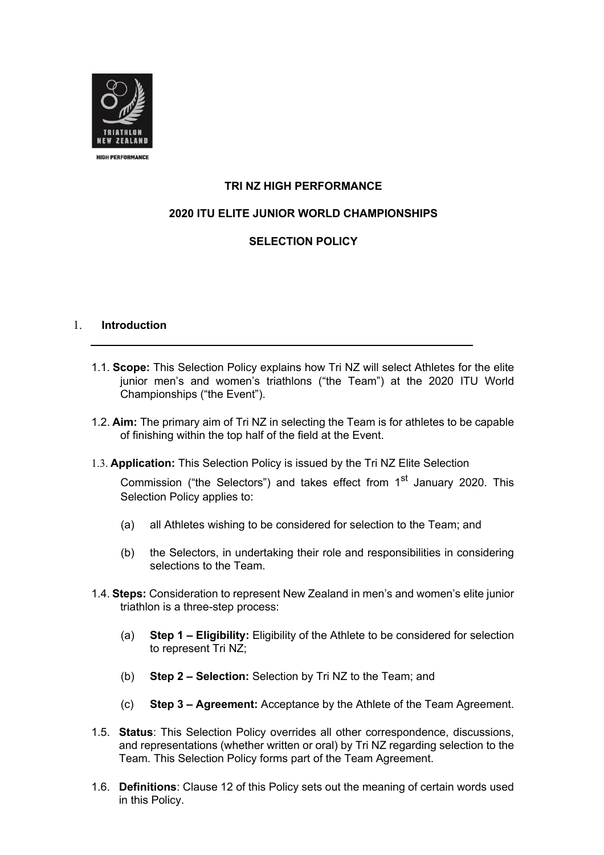

# **TRI NZ HIGH PERFORMANCE**

# **2020 ITU ELITE JUNIOR WORLD CHAMPIONSHIPS**

# **SELECTION POLICY**

#### 1. **Introduction**

- 1.1. **Scope:** This Selection Policy explains how Tri NZ will select Athletes for the elite junior men's and women's triathlons ("the Team") at the 2020 ITU World Championships ("the Event").
- 1.2. **Aim:** The primary aim of Tri NZ in selecting the Team is for athletes to be capable of finishing within the top half of the field at the Event.
- 1.3. **Application:** This Selection Policy is issued by the Tri NZ Elite Selection

Commission ("the Selectors") and takes effect from 1<sup>st</sup> January 2020. This Selection Policy applies to:

- (a) all Athletes wishing to be considered for selection to the Team; and
- (b) the Selectors, in undertaking their role and responsibilities in considering selections to the Team.
- 1.4. **Steps:** Consideration to represent New Zealand in men's and women's elite junior triathlon is a three-step process:
	- (a) **Step 1 – Eligibility:** Eligibility of the Athlete to be considered for selection to represent Tri NZ;
	- (b) **Step 2 – Selection:** Selection by Tri NZ to the Team; and
	- (c) **Step 3 – Agreement:** Acceptance by the Athlete of the Team Agreement.
- 1.5. **Status**: This Selection Policy overrides all other correspondence, discussions, and representations (whether written or oral) by Tri NZ regarding selection to the Team. This Selection Policy forms part of the Team Agreement.
- 1.6. **Definitions**: Clause 12 of this Policy sets out the meaning of certain words used in this Policy.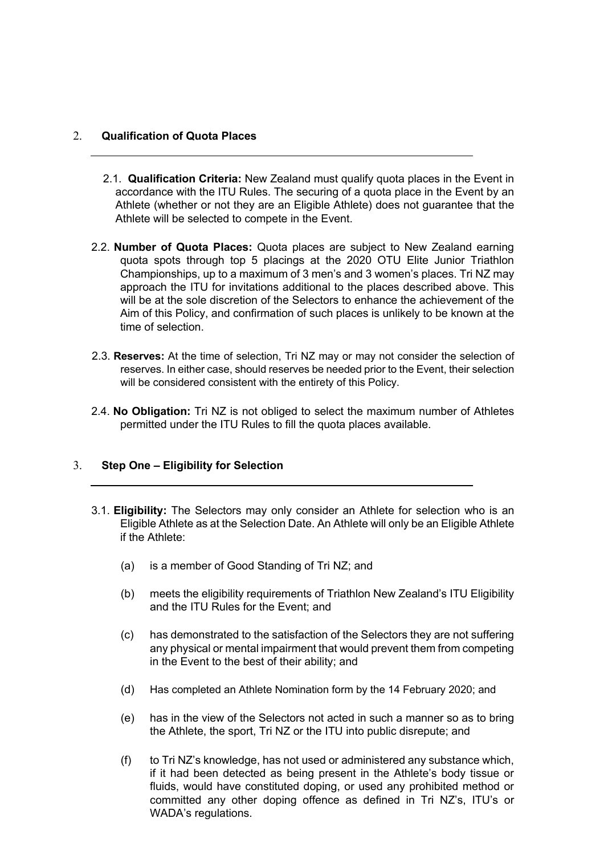## 2. **Qualification of Quota Places**

- 2.1. **Qualification Criteria:** New Zealand must qualify quota places in the Event in accordance with the ITU Rules. The securing of a quota place in the Event by an Athlete (whether or not they are an Eligible Athlete) does not guarantee that the Athlete will be selected to compete in the Event.
- 2.2. **Number of Quota Places:** Quota places are subject to New Zealand earning quota spots through top 5 placings at the 2020 OTU Elite Junior Triathlon Championships, up to a maximum of 3 men's and 3 women's places. Tri NZ may approach the ITU for invitations additional to the places described above. This will be at the sole discretion of the Selectors to enhance the achievement of the Aim of this Policy, and confirmation of such places is unlikely to be known at the time of selection.
- 2.3. **Reserves:** At the time of selection, Tri NZ may or may not consider the selection of reserves. In either case, should reserves be needed prior to the Event, their selection will be considered consistent with the entirety of this Policy.
- 2.4. **No Obligation:** Tri NZ is not obliged to select the maximum number of Athletes permitted under the ITU Rules to fill the quota places available.

## 3. **Step One – Eligibility for Selection**

- 3.1. **Eligibility:** The Selectors may only consider an Athlete for selection who is an Eligible Athlete as at the Selection Date. An Athlete will only be an Eligible Athlete if the Athlete:
	- (a) is a member of Good Standing of Tri NZ; and
	- (b) meets the eligibility requirements of Triathlon New Zealand's ITU Eligibility and the ITU Rules for the Event; and
	- (c) has demonstrated to the satisfaction of the Selectors they are not suffering any physical or mental impairment that would prevent them from competing in the Event to the best of their ability; and
	- (d) Has completed an Athlete Nomination form by the 14 February 2020; and
	- (e) has in the view of the Selectors not acted in such a manner so as to bring the Athlete, the sport, Tri NZ or the ITU into public disrepute; and
	- (f) to Tri NZ's knowledge, has not used or administered any substance which, if it had been detected as being present in the Athlete's body tissue or fluids, would have constituted doping, or used any prohibited method or committed any other doping offence as defined in Tri NZ's, ITU's or WADA's regulations.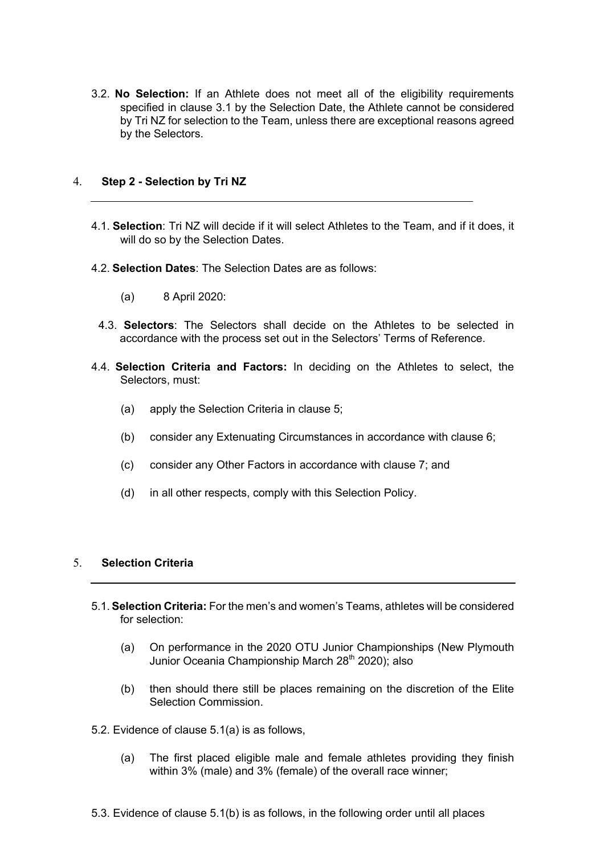3.2. **No Selection:** If an Athlete does not meet all of the eligibility requirements specified in clause 3.1 by the Selection Date, the Athlete cannot be considered by Tri NZ for selection to the Team, unless there are exceptional reasons agreed by the Selectors.

### 4. **Step 2 - Selection by Tri NZ**

- 4.1. **Selection**: Tri NZ will decide if it will select Athletes to the Team, and if it does, it will do so by the Selection Dates.
- 4.2. **Selection Dates**: The Selection Dates are as follows:
	- (a) 8 April 2020:
	- 4.3. **Selectors**: The Selectors shall decide on the Athletes to be selected in accordance with the process set out in the Selectors' Terms of Reference.
- 4.4. **Selection Criteria and Factors:** In deciding on the Athletes to select, the Selectors, must:
	- (a) apply the Selection Criteria in clause 5;
	- (b) consider any Extenuating Circumstances in accordance with clause 6;
	- (c) consider any Other Factors in accordance with clause 7; and
	- (d) in all other respects, comply with this Selection Policy.

## 5. **Selection Criteria**

- 5.1. **Selection Criteria:** For the men's and women's Teams, athletes will be considered for selection:
	- (a) On performance in the 2020 OTU Junior Championships (New Plymouth Junior Oceania Championship March 28<sup>th</sup> 2020); also
	- (b) then should there still be places remaining on the discretion of the Elite Selection Commission.
- 5.2. Evidence of clause 5.1(a) is as follows,
	- (a) The first placed eligible male and female athletes providing they finish within 3% (male) and 3% (female) of the overall race winner;
- 5.3. Evidence of clause 5.1(b) is as follows, in the following order until all places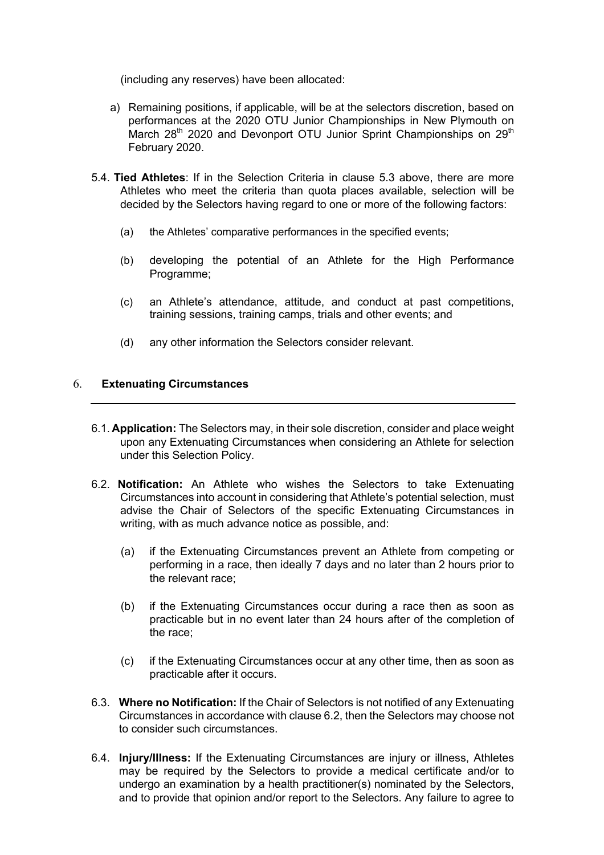(including any reserves) have been allocated:

- a) Remaining positions, if applicable, will be at the selectors discretion, based on performances at the 2020 OTU Junior Championships in New Plymouth on March 28<sup>th</sup> 2020 and Devonport OTU Junior Sprint Championships on 29<sup>th</sup> February 2020.
- 5.4. **Tied Athletes**: If in the Selection Criteria in clause 5.3 above, there are more Athletes who meet the criteria than quota places available, selection will be decided by the Selectors having regard to one or more of the following factors:
	- (a) the Athletes' comparative performances in the specified events;
	- (b) developing the potential of an Athlete for the High Performance Programme;
	- (c) an Athlete's attendance, attitude, and conduct at past competitions, training sessions, training camps, trials and other events; and
	- (d) any other information the Selectors consider relevant.

## 6. **Extenuating Circumstances**

- 6.1. **Application:** The Selectors may, in their sole discretion, consider and place weight upon any Extenuating Circumstances when considering an Athlete for selection under this Selection Policy.
- 6.2. **Notification:** An Athlete who wishes the Selectors to take Extenuating Circumstances into account in considering that Athlete's potential selection, must advise the Chair of Selectors of the specific Extenuating Circumstances in writing, with as much advance notice as possible, and:
	- (a) if the Extenuating Circumstances prevent an Athlete from competing or performing in a race, then ideally 7 days and no later than 2 hours prior to the relevant race;
	- (b) if the Extenuating Circumstances occur during a race then as soon as practicable but in no event later than 24 hours after of the completion of the race;
	- (c) if the Extenuating Circumstances occur at any other time, then as soon as practicable after it occurs.
- 6.3. **Where no Notification:** If the Chair of Selectors is not notified of any Extenuating Circumstances in accordance with clause 6.2, then the Selectors may choose not to consider such circumstances.
- 6.4. **Injury/Illness:** If the Extenuating Circumstances are injury or illness, Athletes may be required by the Selectors to provide a medical certificate and/or to undergo an examination by a health practitioner(s) nominated by the Selectors, and to provide that opinion and/or report to the Selectors. Any failure to agree to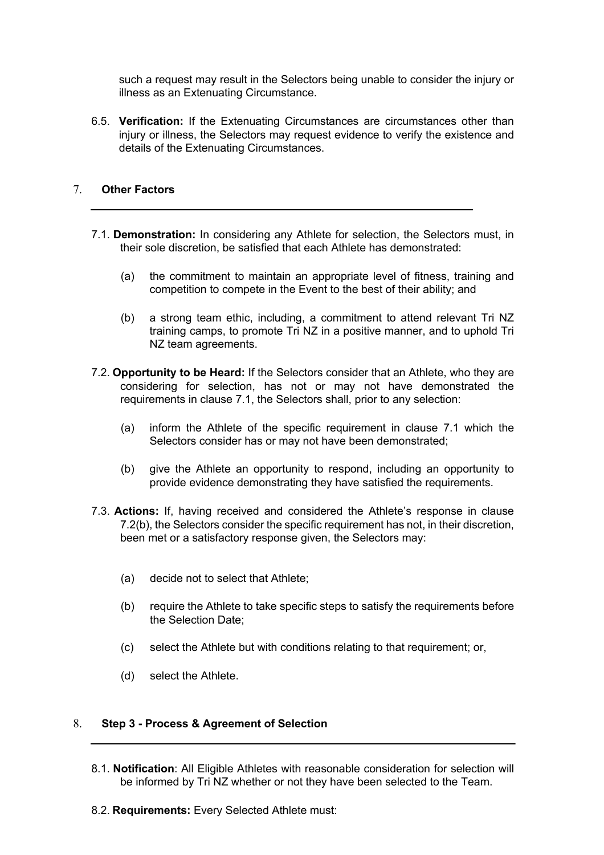such a request may result in the Selectors being unable to consider the injury or illness as an Extenuating Circumstance.

6.5. **Verification:** If the Extenuating Circumstances are circumstances other than injury or illness, the Selectors may request evidence to verify the existence and details of the Extenuating Circumstances.

## 7. **Other Factors**

- 7.1. **Demonstration:** In considering any Athlete for selection, the Selectors must, in their sole discretion, be satisfied that each Athlete has demonstrated:
	- (a) the commitment to maintain an appropriate level of fitness, training and competition to compete in the Event to the best of their ability; and
	- (b) a strong team ethic, including, a commitment to attend relevant Tri NZ training camps, to promote Tri NZ in a positive manner, and to uphold Tri NZ team agreements.
- 7.2. **Opportunity to be Heard:** If the Selectors consider that an Athlete, who they are considering for selection, has not or may not have demonstrated the requirements in clause 7.1, the Selectors shall, prior to any selection:
	- (a) inform the Athlete of the specific requirement in clause 7.1 which the Selectors consider has or may not have been demonstrated;
	- (b) give the Athlete an opportunity to respond, including an opportunity to provide evidence demonstrating they have satisfied the requirements.
- 7.3. **Actions:** If, having received and considered the Athlete's response in clause 7.2(b), the Selectors consider the specific requirement has not, in their discretion, been met or a satisfactory response given, the Selectors may:
	- (a) decide not to select that Athlete;
	- (b) require the Athlete to take specific steps to satisfy the requirements before the Selection Date;
	- (c) select the Athlete but with conditions relating to that requirement; or,
	- (d) select the Athlete.

#### 8. **Step 3 - Process & Agreement of Selection**

- 8.1. **Notification**: All Eligible Athletes with reasonable consideration for selection will be informed by Tri NZ whether or not they have been selected to the Team.
- 8.2. **Requirements:** Every Selected Athlete must: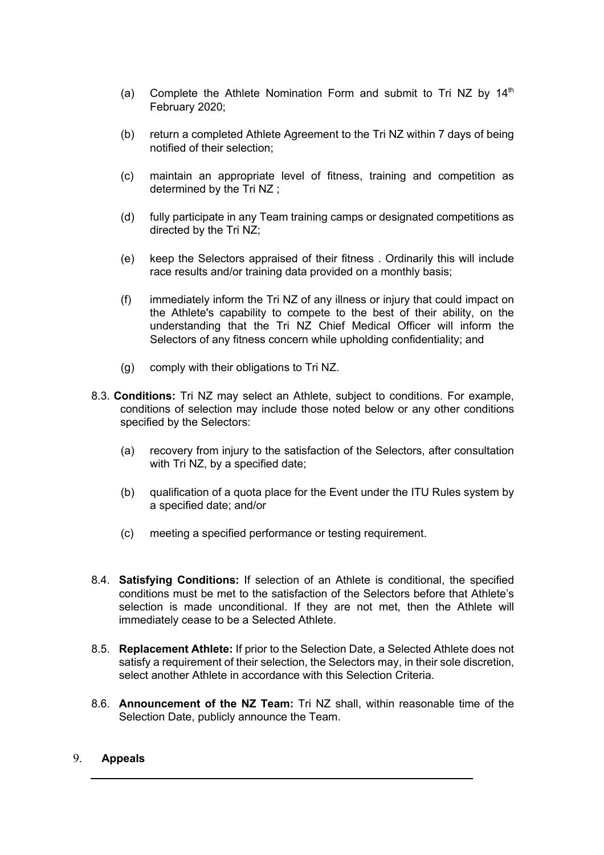- (a) Complete the Athlete Nomination Form and submit to Tri NZ by  $14<sup>th</sup>$ February 2020;
- (b) return a completed Athlete Agreement to the Tri NZ within 7 days of being notified of their selection;
- (c) maintain an appropriate level of fitness, training and competition as determined by the Tri NZ ;
- (d) fully participate in any Team training camps or designated competitions as directed by the Tri NZ;
- (e) keep the Selectors appraised of their fitness . Ordinarily this will include race results and/or training data provided on a monthly basis;
- (f) immediately inform the Tri NZ of any illness or injury that could impact on the Athlete's capability to compete to the best of their ability, on the understanding that the Tri NZ Chief Medical Officer will inform the Selectors of any fitness concern while upholding confidentiality; and
- (g) comply with their obligations to Tri NZ.
- 8.3. **Conditions:** Tri NZ may select an Athlete, subject to conditions. For example, conditions of selection may include those noted below or any other conditions specified by the Selectors:
	- (a) recovery from injury to the satisfaction of the Selectors, after consultation with Tri NZ, by a specified date:
	- (b) qualification of a quota place for the Event under the ITU Rules system by a specified date; and/or
	- (c) meeting a specified performance or testing requirement.
- 8.4. **Satisfying Conditions:** If selection of an Athlete is conditional, the specified conditions must be met to the satisfaction of the Selectors before that Athlete's selection is made unconditional. If they are not met, then the Athlete will immediately cease to be a Selected Athlete.
- 8.5. **Replacement Athlete:** If prior to the Selection Date, a Selected Athlete does not satisfy a requirement of their selection, the Selectors may, in their sole discretion, select another Athlete in accordance with this Selection Criteria.
- 8.6. **Announcement of the NZ Team:** Tri NZ shall, within reasonable time of the Selection Date, publicly announce the Team.

### 9. **Appeals**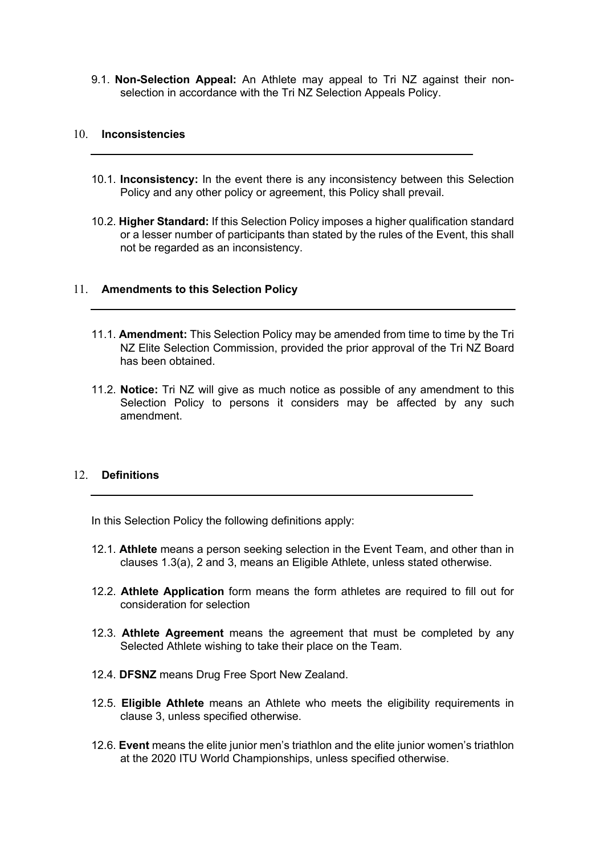9.1. **Non-Selection Appeal:** An Athlete may appeal to Tri NZ against their nonselection in accordance with the Tri NZ Selection Appeals Policy.

#### 10. **Inconsistencies**

- 10.1. **Inconsistency:** In the event there is any inconsistency between this Selection Policy and any other policy or agreement, this Policy shall prevail.
- 10.2. **Higher Standard:** If this Selection Policy imposes a higher qualification standard or a lesser number of participants than stated by the rules of the Event, this shall not be regarded as an inconsistency.

#### 11. **Amendments to this Selection Policy**

- 11.1. **Amendment:** This Selection Policy may be amended from time to time by the Tri NZ Elite Selection Commission, provided the prior approval of the Tri NZ Board has been obtained.
- 11.2. **Notice:** Tri NZ will give as much notice as possible of any amendment to this Selection Policy to persons it considers may be affected by any such amendment.

#### 12. **Definitions**

In this Selection Policy the following definitions apply:

- 12.1. **Athlete** means a person seeking selection in the Event Team, and other than in clauses 1.3(a), 2 and 3, means an Eligible Athlete, unless stated otherwise.
- 12.2. **Athlete Application** form means the form athletes are required to fill out for consideration for selection
- 12.3. **Athlete Agreement** means the agreement that must be completed by any Selected Athlete wishing to take their place on the Team.
- 12.4. **DFSNZ** means Drug Free Sport New Zealand.
- 12.5. **Eligible Athlete** means an Athlete who meets the eligibility requirements in clause 3, unless specified otherwise.
- 12.6. **Event** means the elite junior men's triathlon and the elite junior women's triathlon at the 2020 ITU World Championships, unless specified otherwise.